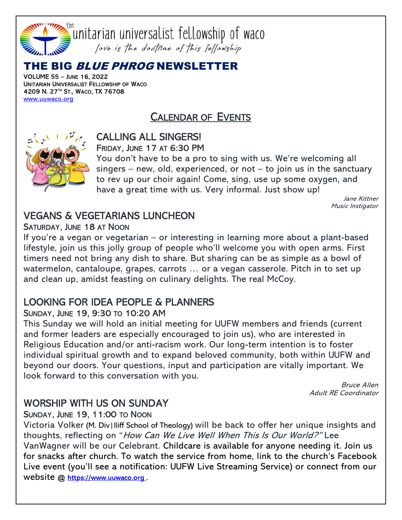

## THE BIG *BLUE PHROG* NEWSLETTER

VOLUME 55 – JUNE 16, 2022 UNITARIAN UNIVERSALIST FELLOWSHIP OF WACO 4209 N. 27™ ST., Waco, TX 76708 www.uuwaco.org

# CALENDAR OF EVENTS



#### CALLING ALL SINGERS! FRIDAY, JUNE 17 AT 6:30 PM

You don't have to be a pro to sing with us. We're welcoming all  $s$ ingers – new, old, experienced, or not – to join us in the sanctuary to rev up our choir again! Come, sing, use up some oxygen, and have a great time with us. Very informal. Just show up!

> Jane Kittner Music Instigator

### VEGANS & VEGETARIANS LUNCHEON SATURDAY, JUNE 18 AT NOON

If you're a vegan or vegetarian – or interesting in learning more about a plant-based lifestyle, join us this jolly group of people who'll welcome you with open arms. First timers need not bring any dish to share. But sharing can be as simple as a bowl of watermelon, cantaloupe, grapes, carrots … or a vegan casserole. Pitch in to set up and clean up, amidst feasting on culinary delights. The real McCoy.

#### LOOKING FOR IDEA PEOPLE & PLANNERS SUNDAY, JUNE 19, 9:30 TO 10:20 AM

This Sunday we will hold an initial meeting for UUFW members and friends (current and former leaders are especially encouraged to join us), who are interested in Religious Education and/or anti-racism work. Our long-term intention is to foster individual spiritual growth and to expand beloved community, both within UUFW and beyond our doors. Your questions, input and participation are vitally important. We look forward to this conversation with you.

> Bruce Allen Adult RE Coordinator

# WORSHIP WITH US ON SUNDAY

#### SUNDAY, JUNE 19, 11:00 TO NOON

Victoria Volker (M. Div|Iliff School of Theology) will be back to offer her unique insights and thoughts, reflecting on "How Can We Live Well When This Is Our World?" Lee VanWagner will be our Celebrant. Childcare is available for anyone needing it. Join us for snacks after church. To watch the service from home, link to the church's Facebook Live event (you'll see a notification: UUFW Live Streaming Service) or connect from our website @ https://www.uuwaco.org.